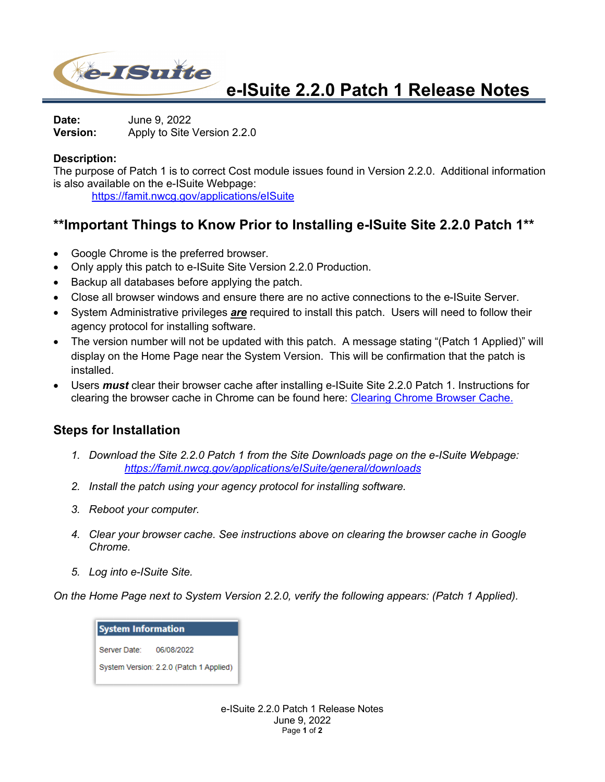

**e-ISuite 2.2.0 Patch 1 Release Notes**

**Date:** June 9, 2022 **Version:** Apply to Site Version 2.2.0

## **Description:**

The purpose of Patch 1 is to correct Cost module issues found in Version 2.2.0. Additional information is also available on the e-ISuite Webpage:

https://famit.nwcg.gov/applications/eISuite

## **\*\*Important Things to Know Prior to Installing e-ISuite Site 2.2.0 Patch 1\*\***

- Google Chrome is the preferred browser.
- Only apply this patch to e-ISuite Site Version 2.2.0 Production.
- Backup all databases before applying the patch.
- Close all browser windows and ensure there are no active connections to the e-ISuite Server.
- System Administrative privileges *are* required to install this patch. Users will need to follow their agency protocol for installing software.
- The version number will not be updated with this patch. A message stating "(Patch 1 Applied)" will display on the Home Page near the System Version. This will be confirmation that the patch is installed.
- Users *must* clear their browser cache after installing e-ISuite Site 2.2.0 Patch 1. Instructions for clearing the browser cache in Chrome can be found here: Clearing Chrome Browser Cache.

## **Steps for Installation**

- *1. Download the Site 2.2.0 Patch 1 from the Site Downloads page on the e-ISuite Webpage: https://famit.nwcg.gov/applications/eISuite/general/downloads*
- *2. Install the patch using your agency protocol for installing software.*
- *3. Reboot your computer.*
- *4. Clear your browser cache. See instructions above on clearing the browser cache in Google Chrome.*
- *5. Log into e-ISuite Site.*

*On the Home Page next to System Version 2.2.0, verify the following appears: (Patch 1 Applied).*